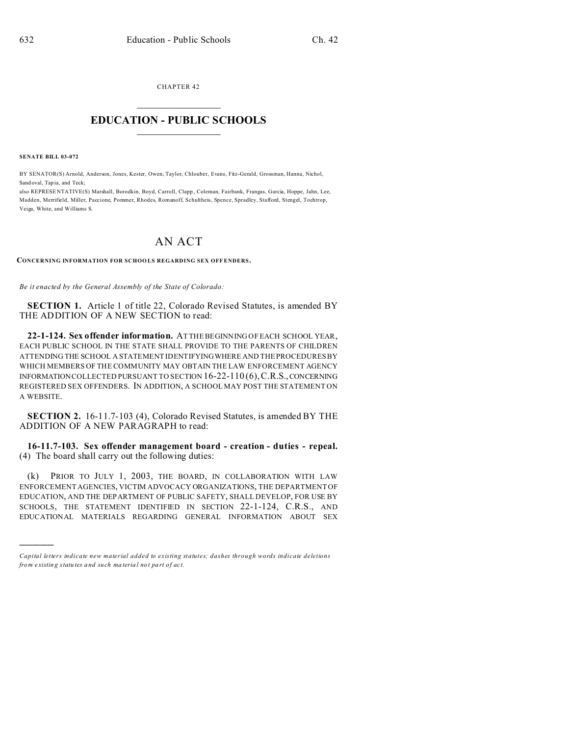CHAPTER 42  $\overline{\phantom{a}}$  , where  $\overline{\phantom{a}}$ 

## **EDUCATION - PUBLIC SCHOOLS**  $\_$   $\_$   $\_$   $\_$   $\_$   $\_$   $\_$   $\_$   $\_$

**SENATE BILL 03-072**

)))))

BY SENATOR(S) Arnold, Anderson, Jones, Kester, Owen, Taylor, Chlouber, Evans, Fitz-Gerald, Grossman, Hanna, Nichol, Sand oval, Tap ia, and Teck;

also REPRESE NTATIVE(S) Marshall, Borodkin, Boyd, Carroll, Clapp , Coleman, Fairbank, Frangas, Garcia, Hoppe, Jahn, Lee, Madden, Merrifield, Miller, Paccione, Pommer, Rhodes, Romanoff, Schultheis, Spence, Spradley, Stafford, Stengel, Tochtrop, Veiga, White, and Williams S.

## AN ACT

**CONCERNING INFORMATION FOR SCHOO LS REGARDING SEX OFF ENDERS.**

*Be it enacted by the General Assembly of the State of Colorado:*

**SECTION 1.** Article 1 of title 22, Colorado Revised Statutes, is amended BY THE ADDITION OF A NEW SECTION to read:

**22-1-124. Sex offender information.** AT THE BEGINNING OF EACH SCHOOL YEAR, EACH PUBLIC SCHOOL IN THE STATE SHALL PROVIDE TO THE PARENTS OF CHILDREN ATTENDING THE SCHOOL A STATEMENT IDENTIFYINGWHERE AND THE PROCEDURES BY WHICH MEMBERS OF THE COMMUNITY MAY OBTAIN THE LAW ENFORCEMENT AGENCY INFORMATION COLLECTED PURSUANT TO SECTION 16-22-110 (6),C.R.S.,CONCERNING REGISTERED SEX OFFENDERS. IN ADDITION, A SCHOOL MAY POST THE STATEMENT ON A WEBSITE.

**SECTION 2.** 16-11.7-103 (4), Colorado Revised Statutes, is amended BY THE ADDITION OF A NEW PARAGRAPH to read:

**16-11.7-103. Sex offender management board - creation - duties - repeal.** (4) The board shall carry out the following duties:

(k) PRIOR TO JULY 1, 2003, THE BOARD, IN COLLABORATION WITH LAW ENFORCEMENT AGENCIES, VICTIM ADVOCACY ORGANIZATIONS, THE DEPARTMENT OF EDUCATION, AND THE DEPARTMENT OF PUBLIC SAFETY, SHALL DEVELOP, FOR USE BY SCHOOLS, THE STATEMENT IDENTIFIED IN SECTION 22-1-124, C.R.S., AND EDUCATIONAL MATERIALS REGARDING GENERAL INFORMATION ABOUT SEX

*Capital letters indicate new material added to existing statutes; dashes through words indicate deletions from e xistin g statu tes a nd such ma teria l no t pa rt of ac t.*